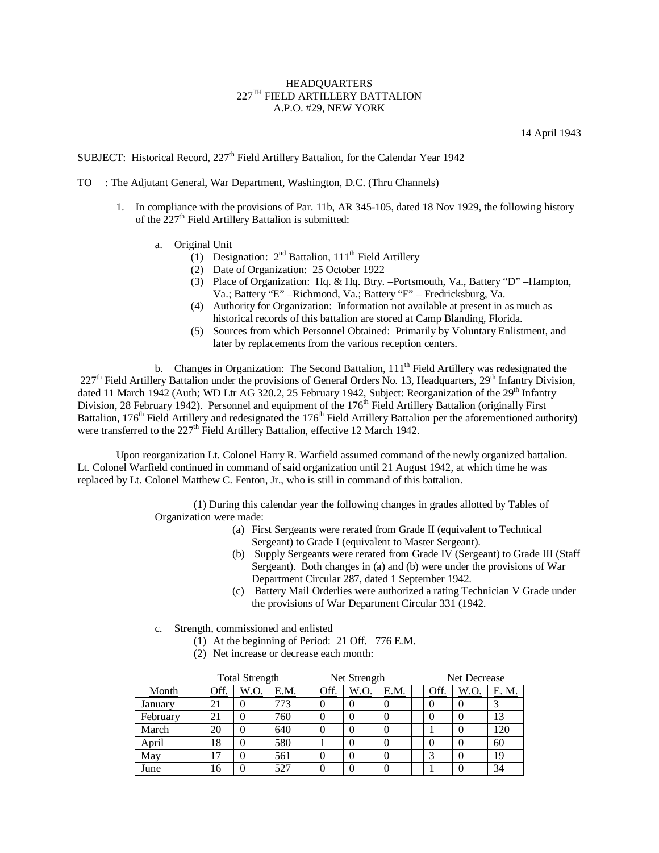## HEADQUARTERS 227TH FIELD ARTILLERY BATTALION A.P.O. #29, NEW YORK

14 April 1943

SUBJECT: Historical Record, 227<sup>th</sup> Field Artillery Battalion, for the Calendar Year 1942

- TO : The Adjutant General, War Department, Washington, D.C. (Thru Channels)
	- 1. In compliance with the provisions of Par. 11b, AR 345-105, dated 18 Nov 1929, the following history of the  $227<sup>th</sup>$  Field Artillery Battalion is submitted:
		- a. Original Unit
			- (1) Designation:  $2<sup>nd</sup>$  Battalion,  $111<sup>th</sup>$  Field Artillery
			- (2) Date of Organization: 25 October 1922
			- (3) Place of Organization: Hq. & Hq. Btry. –Portsmouth, Va., Battery "D" –Hampton, Va.; Battery "E" –Richmond, Va.; Battery "F" – Fredricksburg, Va.
			- (4) Authority for Organization: Information not available at present in as much as historical records of this battalion are stored at Camp Blanding, Florida.
			- (5) Sources from which Personnel Obtained: Primarily by Voluntary Enlistment, and later by replacements from the various reception centers.

b. Changes in Organization: The Second Battalion,  $111<sup>th</sup>$  Field Artillery was redesignated the  $227<sup>th</sup>$  Field Artillery Battalion under the provisions of General Orders No. 13, Headquarters,  $29<sup>th</sup>$  Infantry Division, dated 11 March 1942 (Auth; WD Ltr AG 320.2, 25 February 1942, Subject: Reorganization of the 29<sup>th</sup> Infantry Division, 28 February 1942). Personnel and equipment of the 176<sup>th</sup> Field Artillery Battalion (originally First Battalion,  $176<sup>th</sup>$  Field Artillery and redesignated the  $176<sup>th</sup>$  Field Artillery Battalion per the aforementioned authority) were transferred to the  $227<sup>th</sup>$  Field Artillery Battalion, effective 12 March 1942.

Upon reorganization Lt. Colonel Harry R. Warfield assumed command of the newly organized battalion. Lt. Colonel Warfield continued in command of said organization until 21 August 1942, at which time he was replaced by Lt. Colonel Matthew C. Fenton, Jr., who is still in command of this battalion.

> (1) During this calendar year the following changes in grades allotted by Tables of Organization were made:

- (a) First Sergeants were rerated from Grade II (equivalent to Technical Sergeant) to Grade I (equivalent to Master Sergeant).
- (b) Supply Sergeants were rerated from Grade IV (Sergeant) to Grade III (Staff Sergeant). Both changes in (a) and (b) were under the provisions of War Department Circular 287, dated 1 September 1942.
- (c) Battery Mail Orderlies were authorized a rating Technician V Grade under the provisions of War Department Circular 331 (1942.
- c. Strength, commissioned and enlisted
	- (1) At the beginning of Period: 21 Off. 776 E.M.
	- (2) Net increase or decrease each month:

|  |          |      | <b>Total Strength</b> |      |             | Net Strength |      | Net Decrease |      |       |  |
|--|----------|------|-----------------------|------|-------------|--------------|------|--------------|------|-------|--|
|  | Month    | Off. | W.O.                  | E.M. | <u>Off.</u> | W.O.         | E.M. | <u>Off.</u>  | W.O. | E. M. |  |
|  | January  |      |                       | 773  |             |              |      |              |      |       |  |
|  | February | 21   |                       | 760  |             |              |      |              |      | 13    |  |
|  | March    | 20   |                       | 640  |             |              |      |              |      | 120   |  |
|  | April    | 18   |                       | 580  |             |              |      |              |      | 60    |  |
|  | May      | . 7  |                       | 561  |             |              |      |              |      | 19    |  |
|  | June     | 16   |                       | 527  |             |              | v    |              | U    | 34    |  |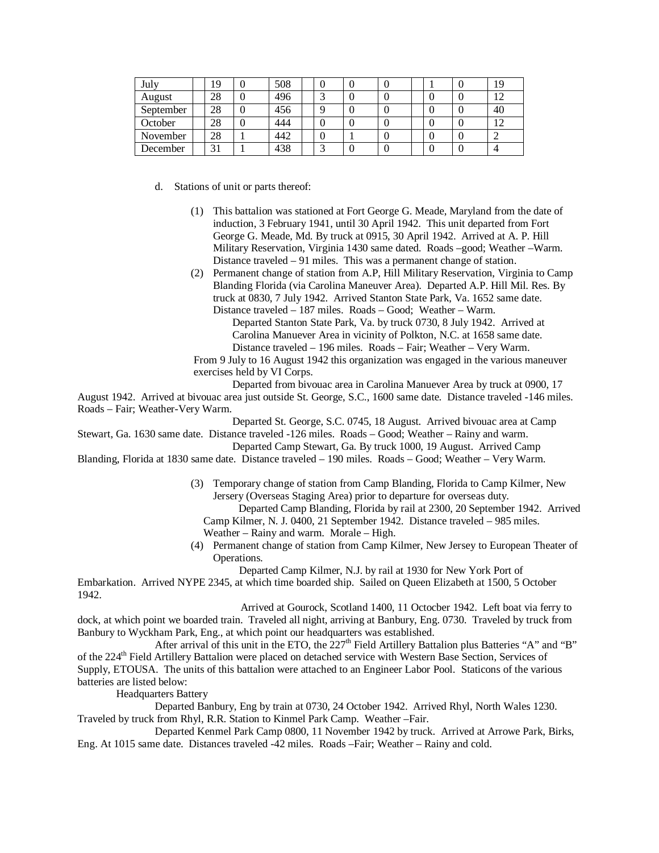| July      | 19       | 508 |            |  |  | 19 |
|-----------|----------|-----|------------|--|--|----|
| August    | 28       | 496 | $\sqrt{2}$ |  |  | 12 |
| September | 28       | 456 |            |  |  | 40 |
| October   | 28       | 444 |            |  |  | 12 |
| November  | 28       | 442 |            |  |  |    |
| December  | 21<br>эι | 438 | $\sqrt{2}$ |  |  |    |

d. Stations of unit or parts thereof:

- (1) This battalion was stationed at Fort George G. Meade, Maryland from the date of induction, 3 February 1941, until 30 April 1942. This unit departed from Fort George G. Meade, Md. By truck at 0915, 30 April 1942. Arrived at A. P. Hill Military Reservation, Virginia 1430 same dated. Roads –good; Weather –Warm. Distance traveled – 91 miles. This was a permanent change of station.
- (2) Permanent change of station from A.P, Hill Military Reservation, Virginia to Camp Blanding Florida (via Carolina Maneuver Area). Departed A.P. Hill Mil. Res. By truck at 0830, 7 July 1942. Arrived Stanton State Park, Va. 1652 same date. Distance traveled – 187 miles. Roads – Good; Weather – Warm. Departed Stanton State Park, Va. by truck 0730, 8 July 1942. Arrived at Carolina Manuever Area in vicinity of Polkton, N.C. at 1658 same date. Distance traveled – 196 miles. Roads – Fair; Weather – Very Warm. From 9 July to 16 August 1942 this organization was engaged in the various maneuver

exercises held by VI Corps.

Departed from bivouac area in Carolina Manuever Area by truck at 0900, 17

August 1942. Arrived at bivouac area just outside St. George, S.C., 1600 same date. Distance traveled -146 miles. Roads – Fair; Weather-Very Warm.

Departed St. George, S.C. 0745, 18 August. Arrived bivouac area at Camp

Stewart, Ga. 1630 same date. Distance traveled -126 miles. Roads – Good; Weather – Rainy and warm. Departed Camp Stewart, Ga. By truck 1000, 19 August. Arrived Camp

Blanding, Florida at 1830 same date. Distance traveled – 190 miles. Roads – Good; Weather – Very Warm.

(3) Temporary change of station from Camp Blanding, Florida to Camp Kilmer, New Jersery (Overseas Staging Area) prior to departure for overseas duty.

 Departed Camp Blanding, Florida by rail at 2300, 20 September 1942. Arrived Camp Kilmer, N. J. 0400, 21 September 1942. Distance traveled – 985 miles.

Weather – Rainy and warm. Morale – High.

(4) Permanent change of station from Camp Kilmer, New Jersey to European Theater of Operations.

Departed Camp Kilmer, N.J. by rail at 1930 for New York Port of

Embarkation. Arrived NYPE 2345, at which time boarded ship. Sailed on Queen Elizabeth at 1500, 5 October 1942.

 Arrived at Gourock, Scotland 1400, 11 Octocber 1942. Left boat via ferry to dock, at which point we boarded train. Traveled all night, arriving at Banbury, Eng. 0730. Traveled by truck from Banbury to Wyckham Park, Eng., at which point our headquarters was established.

After arrival of this unit in the ETO, the 227<sup>th</sup> Field Artillery Battalion plus Batteries "A" and "B" of the 224<sup>th</sup> Field Artillery Battalion were placed on detached service with Western Base Section, Services of Supply, ETOUSA. The units of this battalion were attached to an Engineer Labor Pool. Staticons of the various batteries are listed below:

Headquarters Battery

Departed Banbury, Eng by train at 0730, 24 October 1942. Arrived Rhyl, North Wales 1230. Traveled by truck from Rhyl, R.R. Station to Kinmel Park Camp. Weather –Fair.

Departed Kenmel Park Camp 0800, 11 November 1942 by truck. Arrived at Arrowe Park, Birks, Eng. At 1015 same date. Distances traveled -42 miles. Roads –Fair; Weather – Rainy and cold.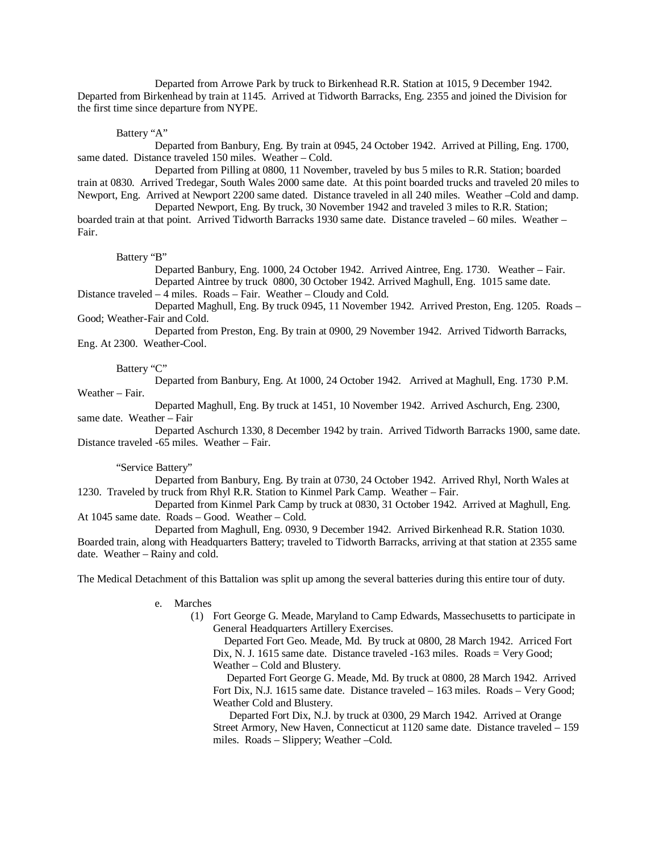Departed from Arrowe Park by truck to Birkenhead R.R. Station at 1015, 9 December 1942. Departed from Birkenhead by train at 1145. Arrived at Tidworth Barracks, Eng. 2355 and joined the Division for the first time since departure from NYPE.

Battery "A"

Departed from Banbury, Eng. By train at 0945, 24 October 1942. Arrived at Pilling, Eng. 1700, same dated. Distance traveled 150 miles. Weather – Cold.

Departed from Pilling at 0800, 11 November, traveled by bus 5 miles to R.R. Station; boarded train at 0830. Arrived Tredegar, South Wales 2000 same date. At this point boarded trucks and traveled 20 miles to Newport, Eng. Arrived at Newport 2200 same dated. Distance traveled in all 240 miles. Weather –Cold and damp. Departed Newport, Eng. By truck, 30 November 1942 and traveled 3 miles to R.R. Station;

boarded train at that point. Arrived Tidworth Barracks 1930 same date. Distance traveled – 60 miles. Weather – Fair.

Battery "B"

Departed Banbury, Eng. 1000, 24 October 1942. Arrived Aintree, Eng. 1730. Weather – Fair. Departed Aintree by truck 0800, 30 October 1942. Arrived Maghull, Eng. 1015 same date.

Distance traveled – 4 miles. Roads – Fair. Weather – Cloudy and Cold.

Departed Maghull, Eng. By truck 0945, 11 November 1942. Arrived Preston, Eng. 1205. Roads – Good; Weather-Fair and Cold.

Departed from Preston, Eng. By train at 0900, 29 November 1942. Arrived Tidworth Barracks, Eng. At 2300. Weather-Cool.

Battery "C"

Departed from Banbury, Eng. At 1000, 24 October 1942. Arrived at Maghull, Eng. 1730 P.M. Weather – Fair.

Departed Maghull, Eng. By truck at 1451, 10 November 1942. Arrived Aschurch, Eng. 2300, same date. Weather – Fair

Departed Aschurch 1330, 8 December 1942 by train. Arrived Tidworth Barracks 1900, same date. Distance traveled -65 miles. Weather – Fair.

"Service Battery"

Departed from Banbury, Eng. By train at 0730, 24 October 1942. Arrived Rhyl, North Wales at 1230. Traveled by truck from Rhyl R.R. Station to Kinmel Park Camp. Weather – Fair.

Departed from Kinmel Park Camp by truck at 0830, 31 October 1942. Arrived at Maghull, Eng. At 1045 same date. Roads – Good. Weather – Cold.

Departed from Maghull, Eng. 0930, 9 December 1942. Arrived Birkenhead R.R. Station 1030. Boarded train, along with Headquarters Battery; traveled to Tidworth Barracks, arriving at that station at 2355 same date. Weather – Rainy and cold.

The Medical Detachment of this Battalion was split up among the several batteries during this entire tour of duty.

e. Marches

(1) Fort George G. Meade, Maryland to Camp Edwards, Massechusetts to participate in General Headquarters Artillery Exercises.

 Departed Fort Geo. Meade, Md. By truck at 0800, 28 March 1942. Arriced Fort Dix, N. J. 1615 same date. Distance traveled -163 miles. Roads = Very Good; Weather – Cold and Blustery.

 Departed Fort George G. Meade, Md. By truck at 0800, 28 March 1942. Arrived Fort Dix, N.J. 1615 same date. Distance traveled – 163 miles. Roads – Very Good; Weather Cold and Blustery.

 Departed Fort Dix, N.J. by truck at 0300, 29 March 1942. Arrived at Orange Street Armory, New Haven, Connecticut at 1120 same date. Distance traveled – 159 miles. Roads – Slippery; Weather –Cold.